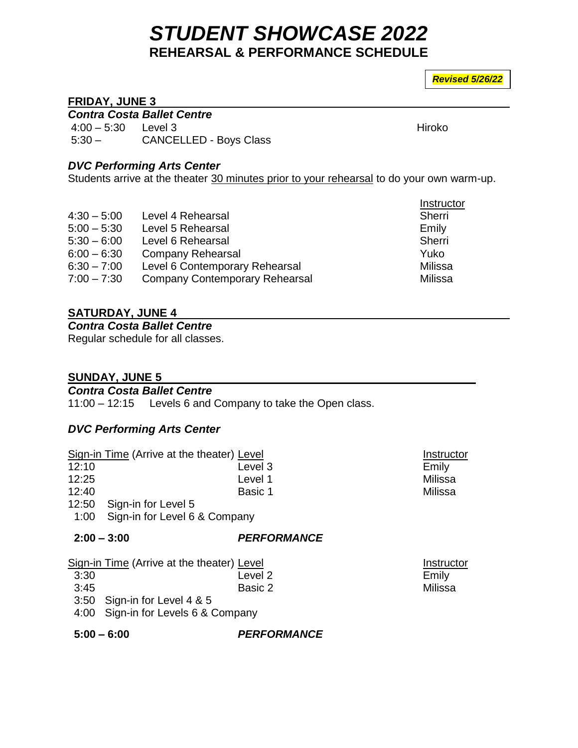# *STUDENT SHOWCASE 2022* **REHEARSAL & PERFORMANCE SCHEDULE**

*Revised 5/26/22*

### **FRIDAY, JUNE 3**

*Contra Costa Ballet Centre*

4:00 – 5:30 Level 3 Hiroko 5:30 – CANCELLED - Boys Class

#### *DVC Performing Arts Center*

Students arrive at the theater 30 minutes prior to your rehearsal to do your own warm-up.

|               |                                       | Instructor |
|---------------|---------------------------------------|------------|
| $4:30 - 5:00$ | Level 4 Rehearsal                     | Sherri     |
| $5:00 - 5:30$ | Level 5 Rehearsal                     | Emily      |
| $5:30 - 6:00$ | Level 6 Rehearsal                     | Sherri     |
| $6:00 - 6:30$ | <b>Company Rehearsal</b>              | Yuko       |
| $6:30 - 7:00$ | Level 6 Contemporary Rehearsal        | Milissa    |
| $7:00 - 7:30$ | <b>Company Contemporary Rehearsal</b> | Milissa    |

## **SATURDAY, JUNE 4**

*Contra Costa Ballet Centre*

Regular schedule for all classes.

#### **SUNDAY, JUNE 5**

#### *Contra Costa Ballet Centre*

11:00 – 12:15 Levels 6 and Company to take the Open class.

#### *DVC Performing Arts Center*

|       | Sign-in Time (Arrive at the theater) Level | Instructor |
|-------|--------------------------------------------|------------|
| 12:10 | Level 3                                    | Emily      |
| 12:25 | Level 1                                    | Milissa    |
| 12:40 | Basic 1                                    | Milissa    |
|       | 12:50 Sign-in for Level 5                  |            |
|       | 1:00 Sign-in for Level 6 & Company         |            |
|       |                                            |            |

#### **2:00 – 3:00** *PERFORMANCE*

|  |  | Sign-in Time (Arrive at the theater) Level |  |
|--|--|--------------------------------------------|--|
|  |  |                                            |  |

- 3:30 Level 2 Emily
- 3:45 Basic 2 Milissa 3:50 Sign-in for Level 4 & 5
- 
- 4:00 Sign-in for Levels 6 & Company

 **5:00 – 6:00** *PERFORMANCE*

Instructor